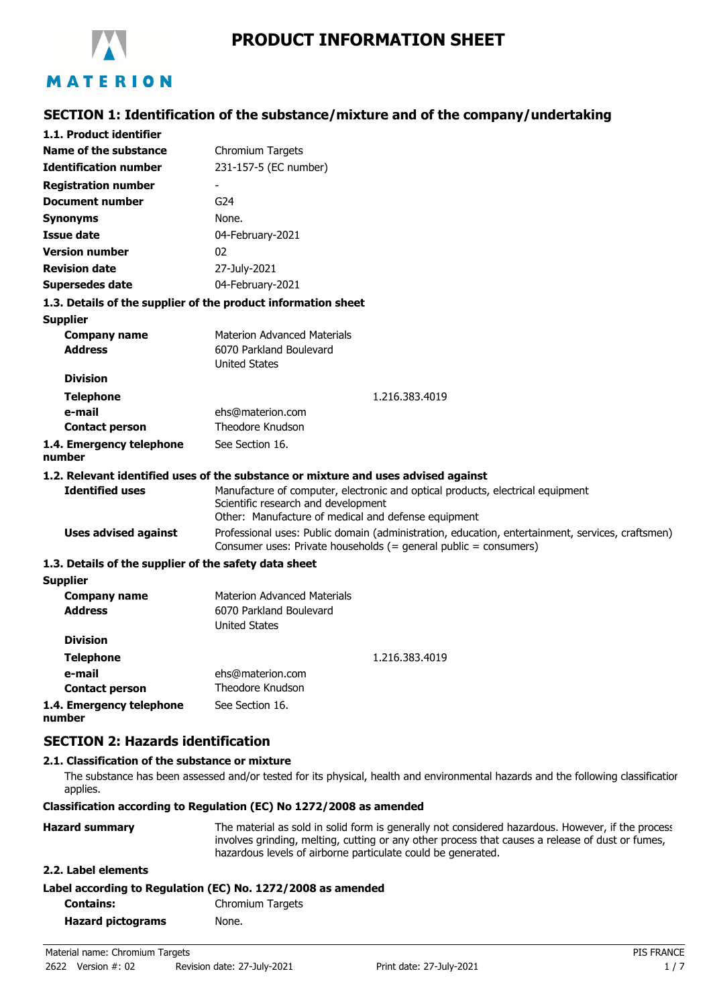

**SECTION 1: Identification of the substance/mixture and of the company/undertaking**

| 1.1. Product identifier                               |                                                                                                                                                                              |  |
|-------------------------------------------------------|------------------------------------------------------------------------------------------------------------------------------------------------------------------------------|--|
| Name of the substance                                 | Chromium Targets                                                                                                                                                             |  |
| <b>Identification number</b>                          | 231-157-5 (EC number)                                                                                                                                                        |  |
| <b>Registration number</b>                            |                                                                                                                                                                              |  |
| <b>Document number</b>                                | G <sub>24</sub>                                                                                                                                                              |  |
| <b>Synonyms</b>                                       | None.                                                                                                                                                                        |  |
| <b>Issue date</b>                                     | 04-February-2021                                                                                                                                                             |  |
| <b>Version number</b>                                 | 02                                                                                                                                                                           |  |
| <b>Revision date</b>                                  | 27-July-2021                                                                                                                                                                 |  |
| <b>Supersedes date</b>                                | 04-February-2021                                                                                                                                                             |  |
|                                                       | 1.3. Details of the supplier of the product information sheet                                                                                                                |  |
| <b>Supplier</b>                                       |                                                                                                                                                                              |  |
| <b>Company name</b>                                   | <b>Materion Advanced Materials</b>                                                                                                                                           |  |
| <b>Address</b>                                        | 6070 Parkland Boulevard                                                                                                                                                      |  |
|                                                       | <b>United States</b>                                                                                                                                                         |  |
| <b>Division</b>                                       |                                                                                                                                                                              |  |
| <b>Telephone</b>                                      | 1.216.383.4019                                                                                                                                                               |  |
| e-mail                                                | ehs@materion.com                                                                                                                                                             |  |
| <b>Contact person</b>                                 | Theodore Knudson                                                                                                                                                             |  |
| 1.4. Emergency telephone<br>number                    | See Section 16.                                                                                                                                                              |  |
|                                                       | 1.2. Relevant identified uses of the substance or mixture and uses advised against                                                                                           |  |
| <b>Identified uses</b>                                | Manufacture of computer, electronic and optical products, electrical equipment<br>Scientific research and development<br>Other: Manufacture of medical and defense equipment |  |
| <b>Uses advised against</b>                           | Professional uses: Public domain (administration, education, entertainment, services, craftsmen)<br>Consumer uses: Private households (= general public = consumers)         |  |
| 1.3. Details of the supplier of the safety data sheet |                                                                                                                                                                              |  |
| <b>Supplier</b>                                       |                                                                                                                                                                              |  |
| <b>Company name</b>                                   | <b>Materion Advanced Materials</b>                                                                                                                                           |  |
| <b>Address</b>                                        | 6070 Parkland Boulevard                                                                                                                                                      |  |
|                                                       | <b>United States</b>                                                                                                                                                         |  |
| <b>Division</b>                                       |                                                                                                                                                                              |  |
| <b>Telephone</b>                                      | 1.216.383.4019                                                                                                                                                               |  |
| e-mail                                                | ehs@materion.com                                                                                                                                                             |  |

**Contact person** Theodore Knudson **1.4. Emergency telephone number** See Section 16.

# **SECTION 2: Hazards identification**

## **2.1. Classification of the substance or mixture**

The substance has been assessed and/or tested for its physical, health and environmental hazards and the following classification applies.

## **Classification according to Regulation (EC) No 1272/2008 as amended**

| <b>Hazard summary</b> | The material as sold in solid form is generally not considered hazardous. However, if the process<br>involves grinding, melting, cutting or any other process that causes a release of dust or fumes,<br>hazardous levels of airborne particulate could be generated. |
|-----------------------|-----------------------------------------------------------------------------------------------------------------------------------------------------------------------------------------------------------------------------------------------------------------------|
| 2.2. Label elements   |                                                                                                                                                                                                                                                                       |
|                       | Label according to Regulation (EC) No. 1272/2008 as amended                                                                                                                                                                                                           |
|                       | and the continues of the contract of the contract of the contract of the contract of the contract of the contract of the contract of the contract of the contract of the contract of the contract of the contract of the contr                                        |

| <b>Contains:</b>         | Chromium Targets |
|--------------------------|------------------|
| <b>Hazard pictograms</b> | None.            |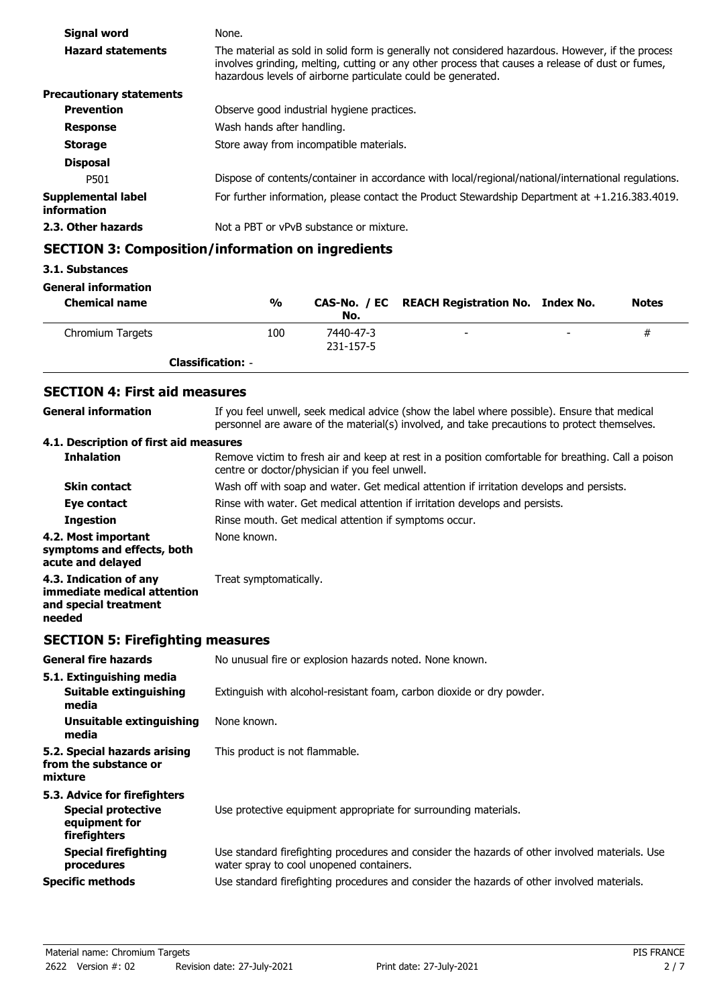| Signal word                       | None.                                                                                                                                                                                                                                                                 |
|-----------------------------------|-----------------------------------------------------------------------------------------------------------------------------------------------------------------------------------------------------------------------------------------------------------------------|
| <b>Hazard statements</b>          | The material as sold in solid form is generally not considered hazardous. However, if the process<br>involves grinding, melting, cutting or any other process that causes a release of dust or fumes,<br>hazardous levels of airborne particulate could be generated. |
| <b>Precautionary statements</b>   |                                                                                                                                                                                                                                                                       |
| <b>Prevention</b>                 | Observe good industrial hygiene practices.                                                                                                                                                                                                                            |
| <b>Response</b>                   | Wash hands after handling.                                                                                                                                                                                                                                            |
| <b>Storage</b>                    | Store away from incompatible materials.                                                                                                                                                                                                                               |
| <b>Disposal</b>                   |                                                                                                                                                                                                                                                                       |
| P501                              | Dispose of contents/container in accordance with local/regional/national/international regulations.                                                                                                                                                                   |
| Supplemental label<br>information | For further information, please contact the Product Stewardship Department at $+1.216.383.4019$ .                                                                                                                                                                     |
| 2.3. Other hazards                | Not a PBT or vPvB substance or mixture.                                                                                                                                                                                                                               |

# **SECTION 3: Composition/information on ingredients**

## **3.1. Substances**

#### **General information**

| <b>Chemical name</b> | $\frac{0}{0}$            | No.                    | CAS-No. / EC REACH Registration No. Index No. |                          | <b>Notes</b> |
|----------------------|--------------------------|------------------------|-----------------------------------------------|--------------------------|--------------|
| Chromium Targets     | 100                      | 7440-47-3<br>231-157-5 | $\overline{\phantom{0}}$                      | $\overline{\phantom{0}}$ | #            |
|                      | <b>Classification: -</b> |                        |                                               |                          |              |

# **SECTION 4: First aid measures**

| <b>General information</b>                                                                 | If you feel unwell, seek medical advice (show the label where possible). Ensure that medical<br>personnel are aware of the material(s) involved, and take precautions to protect themselves. |  |  |
|--------------------------------------------------------------------------------------------|----------------------------------------------------------------------------------------------------------------------------------------------------------------------------------------------|--|--|
| 4.1. Description of first aid measures                                                     |                                                                                                                                                                                              |  |  |
| <b>Inhalation</b>                                                                          | Remove victim to fresh air and keep at rest in a position comfortable for breathing. Call a poison<br>centre or doctor/physician if you feel unwell.                                         |  |  |
| <b>Skin contact</b>                                                                        | Wash off with soap and water. Get medical attention if irritation develops and persists.                                                                                                     |  |  |
| Eye contact                                                                                | Rinse with water. Get medical attention if irritation develops and persists.                                                                                                                 |  |  |
| <b>Ingestion</b>                                                                           | Rinse mouth. Get medical attention if symptoms occur.                                                                                                                                        |  |  |
| 4.2. Most important<br>symptoms and effects, both<br>acute and delayed                     | None known.                                                                                                                                                                                  |  |  |
| 4.3. Indication of any<br>immediate medical attention<br>and special treatment<br>needed   | Treat symptomatically.                                                                                                                                                                       |  |  |
| <b>SECTION 5: Firefighting measures</b>                                                    |                                                                                                                                                                                              |  |  |
| <b>General fire hazards</b>                                                                | No unusual fire or explosion hazards noted. None known.                                                                                                                                      |  |  |
| 5.1. Extinguishing media<br><b>Suitable extinguishing</b><br>media                         | Extinguish with alcohol-resistant foam, carbon dioxide or dry powder.                                                                                                                        |  |  |
| <b>Unsuitable extinguishing</b><br>media                                                   | None known.                                                                                                                                                                                  |  |  |
| 5.2. Special hazards arising<br>from the substance or<br>mixture                           | This product is not flammable.                                                                                                                                                               |  |  |
| 5.3. Advice for firefighters<br><b>Special protective</b><br>equipment for<br>firefighters | Use protective equipment appropriate for surrounding materials.                                                                                                                              |  |  |
| <b>Special firefighting</b><br>procedures                                                  | Use standard firefighting procedures and consider the hazards of other involved materials. Use<br>water spray to cool unopened containers.                                                   |  |  |
| <b>Specific methods</b>                                                                    | Use standard firefighting procedures and consider the hazards of other involved materials.                                                                                                   |  |  |
|                                                                                            |                                                                                                                                                                                              |  |  |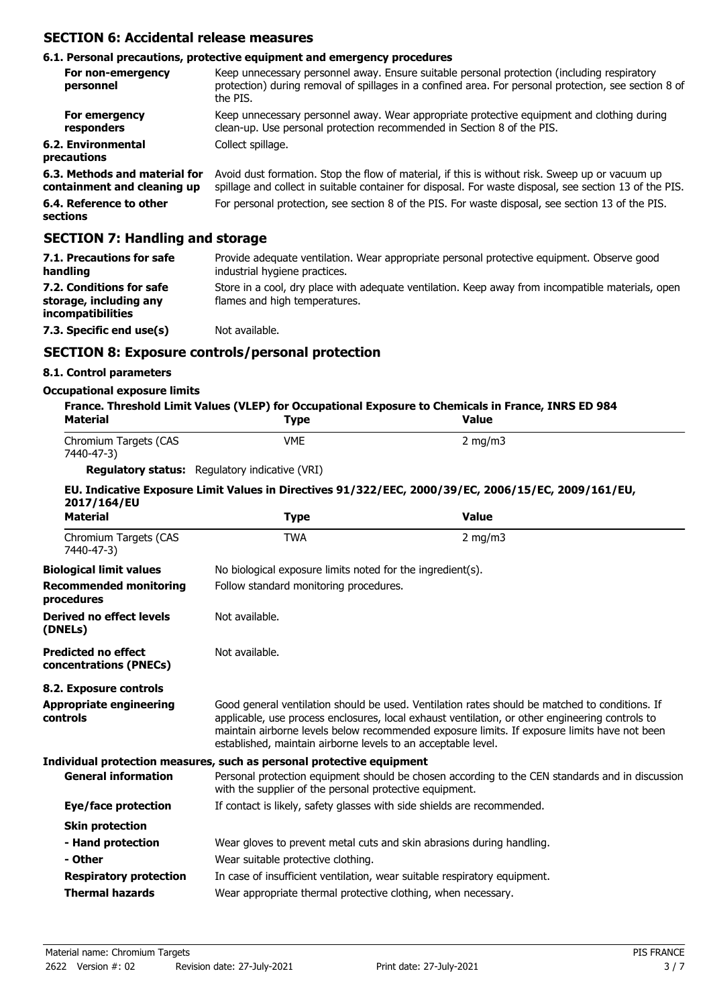## **SECTION 6: Accidental release measures**

#### **6.1. Personal precautions, protective equipment and emergency procedures**

| For non-emergency<br>personnel                               | Keep unnecessary personnel away. Ensure suitable personal protection (including respiratory<br>protection) during removal of spillages in a confined area. For personal protection, see section 8 of<br>the PIS. |
|--------------------------------------------------------------|------------------------------------------------------------------------------------------------------------------------------------------------------------------------------------------------------------------|
| For emergency<br>responders                                  | Keep unnecessary personnel away. Wear appropriate protective equipment and clothing during<br>clean-up. Use personal protection recommended in Section 8 of the PIS.                                             |
| 6.2. Environmental<br>precautions                            | Collect spillage.                                                                                                                                                                                                |
| 6.3. Methods and material for<br>containment and cleaning up | Avoid dust formation. Stop the flow of material, if this is without risk. Sweep up or vacuum up<br>spillage and collect in suitable container for disposal. For waste disposal, see section 13 of the PIS.       |
| 6.4. Reference to other<br>sections                          | For personal protection, see section 8 of the PIS. For waste disposal, see section 13 of the PIS.                                                                                                                |

## **SECTION 7: Handling and storage**

| 7.1. Precautions for safe<br>handling                                          | Provide adequate ventilation. Wear appropriate personal protective equipment. Observe good<br>industrial hygiene practices.        |
|--------------------------------------------------------------------------------|------------------------------------------------------------------------------------------------------------------------------------|
| 7.2. Conditions for safe<br>storage, including any<br><i>incompatibilities</i> | Store in a cool, dry place with adequate ventilation. Keep away from incompatible materials, open<br>flames and high temperatures. |
| 7.3. Specific end use(s)                                                       | Not available.                                                                                                                     |

## **SECTION 8: Exposure controls/personal protection**

## **8.1. Control parameters**

#### **Occupational exposure limits**

| Material                                             | <b>Type</b>                                                                                                                                                                                                                                                                                                                                                        | <b>Value</b>                                                                                        |  |  |
|------------------------------------------------------|--------------------------------------------------------------------------------------------------------------------------------------------------------------------------------------------------------------------------------------------------------------------------------------------------------------------------------------------------------------------|-----------------------------------------------------------------------------------------------------|--|--|
| Chromium Targets (CAS<br>7440-47-3)                  | <b>VME</b>                                                                                                                                                                                                                                                                                                                                                         | $2$ mg/m $3$                                                                                        |  |  |
|                                                      | <b>Regulatory status:</b> Regulatory indicative (VRI)                                                                                                                                                                                                                                                                                                              |                                                                                                     |  |  |
| 2017/164/EU                                          |                                                                                                                                                                                                                                                                                                                                                                    | EU. Indicative Exposure Limit Values in Directives 91/322/EEC, 2000/39/EC, 2006/15/EC, 2009/161/EU, |  |  |
| <b>Material</b>                                      | <b>Type</b>                                                                                                                                                                                                                                                                                                                                                        | <b>Value</b>                                                                                        |  |  |
| Chromium Targets (CAS<br>7440-47-3)                  | <b>TWA</b>                                                                                                                                                                                                                                                                                                                                                         | $2$ mg/m $3$                                                                                        |  |  |
| <b>Biological limit values</b>                       | No biological exposure limits noted for the ingredient(s).                                                                                                                                                                                                                                                                                                         |                                                                                                     |  |  |
| <b>Recommended monitoring</b><br>procedures          |                                                                                                                                                                                                                                                                                                                                                                    | Follow standard monitoring procedures.                                                              |  |  |
| <b>Derived no effect levels</b><br>(DNELs)           | Not available.                                                                                                                                                                                                                                                                                                                                                     |                                                                                                     |  |  |
| <b>Predicted no effect</b><br>concentrations (PNECs) | Not available.                                                                                                                                                                                                                                                                                                                                                     |                                                                                                     |  |  |
| 8.2. Exposure controls                               |                                                                                                                                                                                                                                                                                                                                                                    |                                                                                                     |  |  |
| <b>Appropriate engineering</b><br>controls           | Good general ventilation should be used. Ventilation rates should be matched to conditions. If<br>applicable, use process enclosures, local exhaust ventilation, or other engineering controls to<br>maintain airborne levels below recommended exposure limits. If exposure limits have not been<br>established, maintain airborne levels to an acceptable level. |                                                                                                     |  |  |
|                                                      | Individual protection measures, such as personal protective equipment                                                                                                                                                                                                                                                                                              |                                                                                                     |  |  |
| <b>General information</b>                           | Personal protection equipment should be chosen according to the CEN standards and in discussion<br>with the supplier of the personal protective equipment.                                                                                                                                                                                                         |                                                                                                     |  |  |
| <b>Eye/face protection</b>                           | If contact is likely, safety glasses with side shields are recommended.                                                                                                                                                                                                                                                                                            |                                                                                                     |  |  |
| <b>Skin protection</b>                               |                                                                                                                                                                                                                                                                                                                                                                    |                                                                                                     |  |  |
| - Hand protection                                    | Wear gloves to prevent metal cuts and skin abrasions during handling.                                                                                                                                                                                                                                                                                              |                                                                                                     |  |  |
| - Other                                              | Wear suitable protective clothing.                                                                                                                                                                                                                                                                                                                                 |                                                                                                     |  |  |
| <b>Respiratory protection</b>                        | In case of insufficient ventilation, wear suitable respiratory equipment.                                                                                                                                                                                                                                                                                          |                                                                                                     |  |  |
| <b>Thermal hazards</b>                               | Wear appropriate thermal protective clothing, when necessary.                                                                                                                                                                                                                                                                                                      |                                                                                                     |  |  |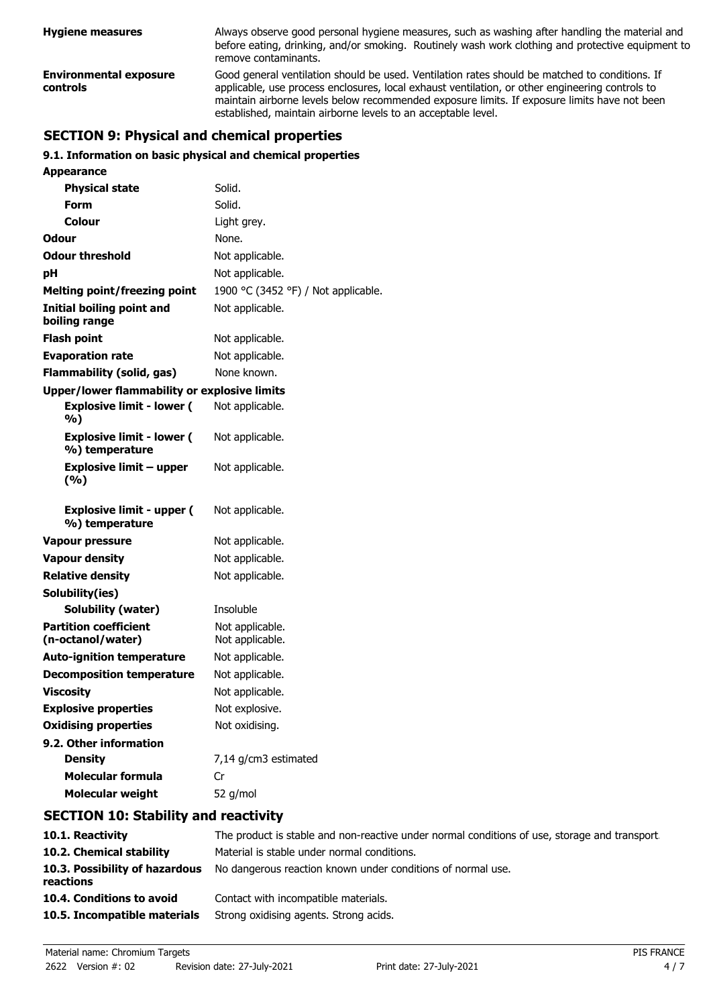| <b>Hygiene measures</b>                   | Always observe good personal hygiene measures, such as washing after handling the material and<br>before eating, drinking, and/or smoking. Routinely wash work clothing and protective equipment to<br>remove contaminants.                                                                                                                                        |
|-------------------------------------------|--------------------------------------------------------------------------------------------------------------------------------------------------------------------------------------------------------------------------------------------------------------------------------------------------------------------------------------------------------------------|
| <b>Environmental exposure</b><br>controls | Good general ventilation should be used. Ventilation rates should be matched to conditions. If<br>applicable, use process enclosures, local exhaust ventilation, or other engineering controls to<br>maintain airborne levels below recommended exposure limits. If exposure limits have not been<br>established, maintain airborne levels to an acceptable level. |

# **SECTION 9: Physical and chemical properties**

## **9.1. Information on basic physical and chemical properties**

**Appearance**

| ippeurunee                                                 |                                     |
|------------------------------------------------------------|-------------------------------------|
| <b>Physical state</b>                                      | Solid.                              |
| Form                                                       | Solid.                              |
| Colour                                                     | Light grey.                         |
| Odour                                                      | None.                               |
| <b>Odour threshold</b>                                     | Not applicable.                     |
| рH                                                         | Not applicable.                     |
| <b>Melting point/freezing point</b>                        | 1900 °C (3452 °F) / Not applicable. |
| <b>Initial boiling point and</b><br>boiling range          | Not applicable.                     |
| <b>Flash point</b>                                         | Not applicable.                     |
| <b>Evaporation rate</b>                                    | Not applicable.                     |
| <b>Flammability (solid, gas)</b>                           | None known.                         |
| <b>Upper/lower flammability or explosive limits</b>        |                                     |
| <b>Explosive limit - lower (</b><br>%)                     | Not applicable.                     |
| <b>Explosive limit - lower (</b><br>%) temperature         | Not applicable.                     |
| Explosive limit – upper<br>(%)                             | Not applicable.                     |
| <b>Explosive limit - upper (</b><br>%) temperature         | Not applicable.                     |
| <b>Vapour pressure</b>                                     | Not applicable.                     |
| <b>Vapour density</b>                                      | Not applicable.                     |
| <b>Relative density</b>                                    | Not applicable.                     |
| Solubility(ies)                                            |                                     |
| <b>Solubility (water)</b>                                  | Insoluble                           |
| <b>Partition coefficient</b>                               | Not applicable.                     |
| (n-octanol/water)                                          | Not applicable.                     |
| <b>Auto-ignition temperature</b>                           | Not applicable.                     |
| <b>Decomposition temperature</b>                           | Not applicable.                     |
| <b>Viscosity</b>                                           | Not applicable.                     |
| <b>Explosive properties</b><br><b>Oxidising properties</b> | Not explosive<br>Not oxidising.     |
| 9.2. Other information                                     |                                     |
| <b>Density</b>                                             | 7,14 g/cm3 estimated                |
| <b>Molecular formula</b>                                   | Cr                                  |
| <b>Molecular weight</b>                                    | 52 g/mol                            |
|                                                            |                                     |

## **SECTION 10: Stability and reactivity**

| 10.1. Reactivity                            | The product is stable and non-reactive under normal conditions of use, storage and transport |
|---------------------------------------------|----------------------------------------------------------------------------------------------|
| 10.2. Chemical stability                    | Material is stable under normal conditions.                                                  |
| 10.3. Possibility of hazardous<br>reactions | No dangerous reaction known under conditions of normal use.                                  |
| 10.4. Conditions to avoid                   | Contact with incompatible materials.                                                         |
| 10.5. Incompatible materials                | Strong oxidising agents. Strong acids.                                                       |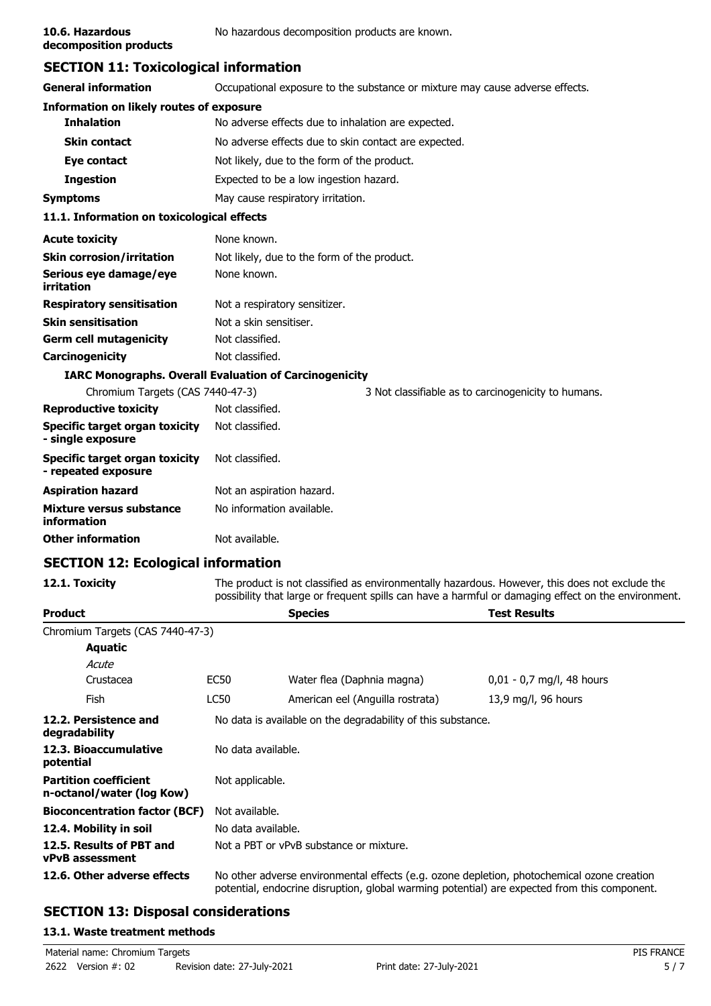**decomposition products**

# **SECTION 11: Toxicological information**

| <b>General information</b>                            | Occupational exposure to the substance or mixture may cause adverse effects. |  |  |
|-------------------------------------------------------|------------------------------------------------------------------------------|--|--|
| Information on likely routes of exposure              |                                                                              |  |  |
| <b>Inhalation</b>                                     | No adverse effects due to inhalation are expected.                           |  |  |
| <b>Skin contact</b>                                   | No adverse effects due to skin contact are expected.                         |  |  |
| Eye contact                                           | Not likely, due to the form of the product.                                  |  |  |
| <b>Ingestion</b>                                      | Expected to be a low ingestion hazard.                                       |  |  |
| <b>Symptoms</b>                                       | May cause respiratory irritation.                                            |  |  |
| 11.1. Information on toxicological effects            |                                                                              |  |  |
| <b>Acute toxicity</b>                                 | None known.                                                                  |  |  |
| <b>Skin corrosion/irritation</b>                      | Not likely, due to the form of the product.                                  |  |  |
| Serious eye damage/eye<br>irritation                  | None known.                                                                  |  |  |
| <b>Respiratory sensitisation</b>                      | Not a respiratory sensitizer.                                                |  |  |
| <b>Skin sensitisation</b>                             | Not a skin sensitiser.                                                       |  |  |
| <b>Germ cell mutagenicity</b>                         | Not classified.                                                              |  |  |
| Carcinogenicity                                       | Not classified.                                                              |  |  |
|                                                       | <b>IARC Monographs. Overall Evaluation of Carcinogenicity</b>                |  |  |
| Chromium Targets (CAS 7440-47-3)                      | 3 Not classifiable as to carcinogenicity to humans.                          |  |  |
| <b>Reproductive toxicity</b>                          | Not classified.                                                              |  |  |
| Specific target organ toxicity<br>- single exposure   | Not classified.                                                              |  |  |
| Specific target organ toxicity<br>- repeated exposure | Not classified.                                                              |  |  |
| <b>Aspiration hazard</b>                              | Not an aspiration hazard.                                                    |  |  |
| Mixture versus substance<br>information               | No information available.                                                    |  |  |
| <b>Other information</b>                              | Not available.                                                               |  |  |
|                                                       |                                                                              |  |  |

## **SECTION 12: Ecological information**

12.1. Toxicity The product is not classified as environmentally hazardous. However, this does not exclude the possibility that large or frequent spills can have a harmful or damaging effect on the environment.

| <b>Product</b>                                            |                                                                                                                                                                                            | <b>Species</b>                   | <b>Test Results</b>         |  |  |
|-----------------------------------------------------------|--------------------------------------------------------------------------------------------------------------------------------------------------------------------------------------------|----------------------------------|-----------------------------|--|--|
| Chromium Targets (CAS 7440-47-3)                          |                                                                                                                                                                                            |                                  |                             |  |  |
| <b>Aquatic</b>                                            |                                                                                                                                                                                            |                                  |                             |  |  |
| Acute                                                     |                                                                                                                                                                                            |                                  |                             |  |  |
| Crustacea                                                 | EC50                                                                                                                                                                                       | Water flea (Daphnia magna)       | $0,01 - 0,7$ mg/l, 48 hours |  |  |
| Fish                                                      | <b>LC50</b>                                                                                                                                                                                | American eel (Anguilla rostrata) | 13,9 mg/l, 96 hours         |  |  |
| 12.2. Persistence and<br>degradability                    | No data is available on the degradability of this substance.                                                                                                                               |                                  |                             |  |  |
| 12.3. Bioaccumulative<br>potential                        | No data available.                                                                                                                                                                         |                                  |                             |  |  |
| <b>Partition coefficient</b><br>n-octanol/water (log Kow) |                                                                                                                                                                                            | Not applicable.                  |                             |  |  |
| <b>Bioconcentration factor (BCF)</b>                      |                                                                                                                                                                                            | Not available.                   |                             |  |  |
| 12.4. Mobility in soil                                    |                                                                                                                                                                                            | No data available.               |                             |  |  |
| 12.5. Results of PBT and<br><b>vPvB</b> assessment        | Not a PBT or vPvB substance or mixture.                                                                                                                                                    |                                  |                             |  |  |
| 12.6. Other adverse effects                               | No other adverse environmental effects (e.g. ozone depletion, photochemical ozone creation<br>potential, endocrine disruption, global warming potential) are expected from this component. |                                  |                             |  |  |

# **SECTION 13: Disposal considerations**

## **13.1. Waste treatment methods**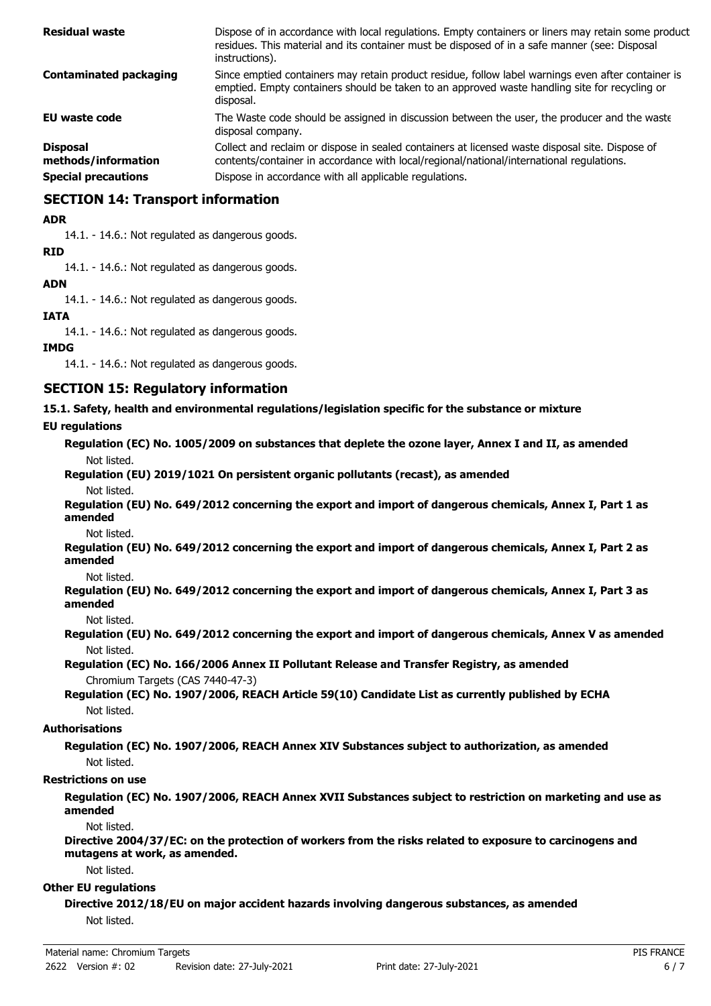| <b>Residual waste</b>                  | Dispose of in accordance with local regulations. Empty containers or liners may retain some product<br>residues. This material and its container must be disposed of in a safe manner (see: Disposal<br>instructions). |
|----------------------------------------|------------------------------------------------------------------------------------------------------------------------------------------------------------------------------------------------------------------------|
| <b>Contaminated packaging</b>          | Since emptied containers may retain product residue, follow label warnings even after container is<br>emptied. Empty containers should be taken to an approved waste handling site for recycling or<br>disposal.       |
| <b>EU waste code</b>                   | The Waste code should be assigned in discussion between the user, the producer and the waste<br>disposal company.                                                                                                      |
| <b>Disposal</b><br>methods/information | Collect and reclaim or dispose in sealed containers at licensed waste disposal site. Dispose of<br>contents/container in accordance with local/regional/national/international regulations.                            |
| <b>Special precautions</b>             | Dispose in accordance with all applicable regulations.                                                                                                                                                                 |

## **SECTION 14: Transport information**

#### **ADR**

14.1. - 14.6.: Not regulated as dangerous goods.

#### **RID**

14.1. - 14.6.: Not regulated as dangerous goods.

## **ADN**

14.1. - 14.6.: Not regulated as dangerous goods.

#### **IATA**

14.1. - 14.6.: Not regulated as dangerous goods.

#### **IMDG**

14.1. - 14.6.: Not regulated as dangerous goods.

## **SECTION 15: Regulatory information**

**15.1. Safety, health and environmental regulations/legislation specific for the substance or mixture**

#### **EU regulations**

**Regulation (EC) No. 1005/2009 on substances that deplete the ozone layer, Annex I and II, as amended** Not listed.

# **Regulation (EU) 2019/1021 On persistent organic pollutants (recast), as amended**

Not listed.

**Regulation (EU) No. 649/2012 concerning the export and import of dangerous chemicals, Annex I, Part 1 as amended**

Not listed.

**Regulation (EU) No. 649/2012 concerning the export and import of dangerous chemicals, Annex I, Part 2 as amended**

Not listed.

**Regulation (EU) No. 649/2012 concerning the export and import of dangerous chemicals, Annex I, Part 3 as amended**

Not listed.

**Regulation (EU) No. 649/2012 concerning the export and import of dangerous chemicals, Annex V as amended** Not listed.

**Regulation (EC) No. 166/2006 Annex II Pollutant Release and Transfer Registry, as amended** Chromium Targets (CAS 7440-47-3)

**Regulation (EC) No. 1907/2006, REACH Article 59(10) Candidate List as currently published by ECHA** Not listed.

## **Authorisations**

**Regulation (EC) No. 1907/2006, REACH Annex XIV Substances subject to authorization, as amended** Not listed.

#### **Restrictions on use**

**Regulation (EC) No. 1907/2006, REACH Annex XVII Substances subject to restriction on marketing and use as amended**

Not listed.

**Directive 2004/37/EC: on the protection of workers from the risks related to exposure to carcinogens and mutagens at work, as amended.**

Not listed.

#### **Other EU regulations**

**Directive 2012/18/EU on major accident hazards involving dangerous substances, as amended** Not listed.